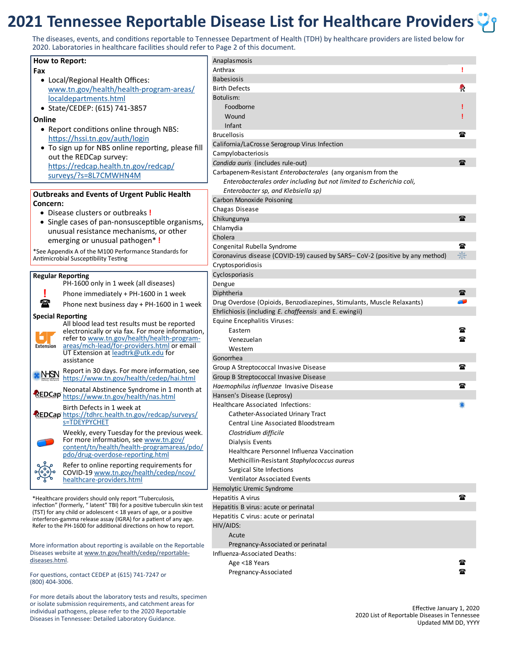## **2021 Tennessee Reportable Disease List for Healthcare Providers**

The diseases, events, and conditions reportable to Tennessee Department of Health (TDH) by healthcare providers are listed below for 2020. Laboratories in healthcare facilities should refer to Page 2 of this document.

| <b>How to Report:</b>                                                                                                                                                                                                                                                                 | Anaplasmosis                                                                  |    |
|---------------------------------------------------------------------------------------------------------------------------------------------------------------------------------------------------------------------------------------------------------------------------------------|-------------------------------------------------------------------------------|----|
| Fax                                                                                                                                                                                                                                                                                   | Anthrax                                                                       |    |
| • Local/Regional Health Offices:                                                                                                                                                                                                                                                      | <b>Babesiosis</b>                                                             |    |
| www.tn.gov/health/health-program-areas/                                                                                                                                                                                                                                               | <b>Birth Defects</b>                                                          | 훇  |
| localdepartments.html                                                                                                                                                                                                                                                                 | Botulism:                                                                     |    |
| • State/CEDEP: (615) 741-3857                                                                                                                                                                                                                                                         | Foodborne                                                                     |    |
| Online                                                                                                                                                                                                                                                                                | Wound                                                                         |    |
| • Report conditions online through NBS:                                                                                                                                                                                                                                               | Infant                                                                        |    |
| https://hssi.tn.gov/auth/login                                                                                                                                                                                                                                                        | <b>Brucellosis</b>                                                            | B  |
| • To sign up for NBS online reporting, please fill                                                                                                                                                                                                                                    | California/LaCrosse Serogroup Virus Infection                                 |    |
| out the REDCap survey:                                                                                                                                                                                                                                                                | Campylobacteriosis<br>Candida auris (includes rule-out)                       | 雷  |
| https://redcap.health.tn.gov/redcap/                                                                                                                                                                                                                                                  | Carbapenem-Resistant <i>Enterobacterales</i> (any organism from the           |    |
| surveys/?s=8L7CMWHN4M                                                                                                                                                                                                                                                                 | Enterobacterales order including but not limited to Escherichia coli,         |    |
|                                                                                                                                                                                                                                                                                       | Enterobacter sp, and Klebsiella sp)                                           |    |
| <b>Outbreaks and Events of Urgent Public Health</b>                                                                                                                                                                                                                                   | Carbon Monoxide Poisoning                                                     |    |
| Concern:                                                                                                                                                                                                                                                                              | Chagas Disease                                                                |    |
| • Disease clusters or outbreaks!                                                                                                                                                                                                                                                      | Chikungunya                                                                   | 鴌  |
| • Single cases of pan-nonsusceptible organisms,                                                                                                                                                                                                                                       | Chlamydia                                                                     |    |
| unusual resistance mechanisms, or other                                                                                                                                                                                                                                               | Cholera                                                                       |    |
| emerging or unusual pathogen*!                                                                                                                                                                                                                                                        | Congenital Rubella Syndrome                                                   | 奮  |
| *See Appendix A of the M100 Performance Standards for<br><b>Antimicrobial Susceptibility Testing</b>                                                                                                                                                                                  | Coronavirus disease (COVID-19) caused by SARS- CoV-2 (positive by any method) | ** |
|                                                                                                                                                                                                                                                                                       | Cryptosporidiosis                                                             |    |
| <b>Regular Reporting</b>                                                                                                                                                                                                                                                              | Cyclosporiasis                                                                |    |
| PH-1600 only in 1 week (all diseases)                                                                                                                                                                                                                                                 | Dengue                                                                        |    |
| Phone immediately + PH-1600 in 1 week                                                                                                                                                                                                                                                 | Diphtheria                                                                    | 當  |
| ₩<br>Phone next business day + PH-1600 in 1 week                                                                                                                                                                                                                                      | Drug Overdose (Opioids, Benzodiazepines, Stimulants, Muscle Relaxants)        |    |
| <b>Special Reporting</b>                                                                                                                                                                                                                                                              | Ehrlichiosis (including E. chaffeensis and E. ewingii)                        |    |
| All blood lead test results must be reported                                                                                                                                                                                                                                          | Equine Encephalitis Viruses:                                                  |    |
| electronically or via fax. For more information,                                                                                                                                                                                                                                      | Eastern                                                                       |    |
| о<br>refer to www.tn.gov/health/health-program-                                                                                                                                                                                                                                       | Venezuelan                                                                    |    |
| areas/mch-lead/for-providers.html or email<br><b>Extension</b><br>UT Extension at leadtrk@utk.edu for                                                                                                                                                                                 | Western                                                                       |    |
| assistance                                                                                                                                                                                                                                                                            | Gonorrhea                                                                     |    |
| Report in 30 days. For more information, see<br>NHSN                                                                                                                                                                                                                                  | Group A Streptococcal Invasive Disease                                        | ☎  |
| https://www.tn.gov/health/cedep/hai.html                                                                                                                                                                                                                                              | Group B Streptococcal Invasive Disease                                        |    |
| Neonatal Abstinence Syndrome in 1 month at                                                                                                                                                                                                                                            | Haemophilus influenzae Invasive Disease                                       | ☎  |
| REDCap https://www.tn.gov/health/nas.html                                                                                                                                                                                                                                             | Hansen's Disease (Leprosy)                                                    |    |
| Birth Defects in 1 week at                                                                                                                                                                                                                                                            | Healthcare Associated Infections:                                             |    |
| <b>REDCap</b> https://tdhrc.health.tn.gov/redcap/surveys/<br>s=TDEYPYCHET                                                                                                                                                                                                             | Catheter-Associated Urinary Tract                                             |    |
|                                                                                                                                                                                                                                                                                       | Central Line Associated Bloodstream                                           |    |
| Weekly, every Tuesday for the previous week.<br>For more information, see www.tn.gov/                                                                                                                                                                                                 | Clostridium difficile<br>Dialysis Events                                      |    |
| content/tn/health/health-programareas/pdo/                                                                                                                                                                                                                                            | Healthcare Personnel Influenza Vaccination                                    |    |
| pdo/drug-overdose-reporting.html                                                                                                                                                                                                                                                      | Methicillin-Resistant Staphylococcus aureus                                   |    |
| Refer to online reporting requirements for                                                                                                                                                                                                                                            | Surgical Site Infections                                                      |    |
| COVID-19 www.tn.gov/health/cedep/ncov/<br>healthcare-providers.html                                                                                                                                                                                                                   | <b>Ventilator Associated Events</b>                                           |    |
|                                                                                                                                                                                                                                                                                       | Hemolytic Uremic Syndrome                                                     |    |
| *Healthcare providers should only report "Tuberculosis,                                                                                                                                                                                                                               | Hepatitis A virus                                                             | t  |
| infection" (formerly, " latent" TBI) for a positive tuberculin skin test<br>(TST) for any child or adolescent < 18 years of age, or a positive<br>interferon-gamma release assay (IGRA) for a patient of any age.<br>Refer to the PH-1600 for additional directions on how to report. | Hepatitis B virus: acute or perinatal                                         |    |
|                                                                                                                                                                                                                                                                                       | Hepatitis C virus: acute or perinatal                                         |    |
|                                                                                                                                                                                                                                                                                       | HIV/AIDS:                                                                     |    |
|                                                                                                                                                                                                                                                                                       | Acute                                                                         |    |
| More information about reporting is available on the Reportable                                                                                                                                                                                                                       | Pregnancy-Associated or perinatal                                             |    |
| Diseases website at www.tn.gov/health/cedep/reportable-                                                                                                                                                                                                                               | Influenza-Associated Deaths:                                                  |    |
| diseases.html.                                                                                                                                                                                                                                                                        | Age <18 Years                                                                 |    |
| For questions, contact CEDEP at (615) 741-7247 or                                                                                                                                                                                                                                     | Pregnancy-Associated                                                          |    |
| (800) 404-3006.                                                                                                                                                                                                                                                                       |                                                                               |    |

For more details about the laboratory tests and results, specimen or isolate submission requirements, and catchment areas for individual pathogens, please refer to the 2020 Reportable Diseases in Tennessee: Detailed Laboratory Guidance.